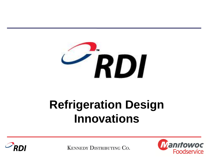

# **Refrigeration Design Innovations**



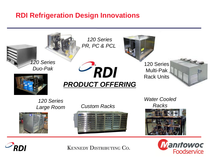### **RDI Refrigeration Design Innovations**





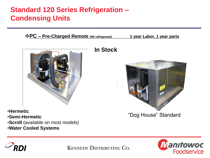## **Standard 120 Series Refrigeration – Condensing Units**

#### **<u>**  $*$  **PC – Pre-Charged Remote (W/ refrigerant)</u> 1 year Labor, 1 year parts**



- •**Hermetic**
- •**Semi-Hermetic**
- •**Scroll** (available on most models)
- •**Water Cooled Systems**

### **In Stock**



"Dog House" Standard



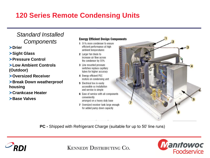## **120 Series Remote Condensing Units**

### *Standard Installed Components*

**Drier**

**Sight Glass**

**Pressure Control**

**Low Ambient Controls (Outdoor)**

**Oversized Receiver**

**Break Down weatherproof housing**

**Crankcase Heater**

**Base Valves**

#### **Energy Efficient Design Components**

- 1 51% more condenser to ensure efficient performance at high ambient temperatures
- 2 Larger fan blade to increase air flow across the condenser by 55%
- 3 Line mounted pressure switches replace capillary tubes for higher accuracy
- 4 Energy efficient PSC motors on condensing unit
- **5** Electrical box is easily accessible so installation and service is simple
- 6 Ease of service with all components conveniently arranged on a heavy duty base
- 7 Oversized receiver tank large enough for added pump down capacity



**PC -** Shipped with Refrigerant Charge (suitable for up to 50' line runs)



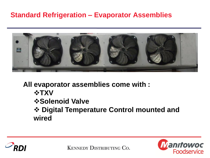### **Standard Refrigeration – Evaporator Assemblies**



**All evaporator assemblies come with :**

- *<b>☆TXV*
- *<b> <b>Solenoid Valve*

 **Digital Temperature Control mounted and wired** 



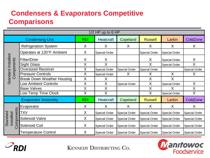## **Condensers & Evaporators Competitive Comparisons**

| $1/2$ HP up to 6 HP                 |                                   |            |                      |                      |                      |                      |                      |
|-------------------------------------|-----------------------------------|------------|----------------------|----------------------|----------------------|----------------------|----------------------|
| <b>Condensing Unit</b>              |                                   | <b>RDI</b> | <b>Heatcraft</b>     | Copeland             | <b>Russell</b>       | Larkin               | ColdZone             |
| Standard Installed<br>Components    | <b>Refrigeration System</b>       | X          | X                    | X                    | X                    | X                    | X                    |
|                                     | Operates at 120°F Ambient         | X          | Special Order        |                      | Special Order        | <b>Special Order</b> |                      |
|                                     | <b>Filter/Drier</b>               | X          | X                    |                      | X                    | Special Order        | X                    |
|                                     | <b>Sight Glass</b>                | $\sf X$    | $\sf X$              |                      | X                    | <b>Special Order</b> | X                    |
|                                     | <b>Oversized Receiver</b>         | X          | Special Order        | <b>Special Order</b> | Special Order        |                      | Special Order        |
|                                     | <b>Pressure Controls</b>          | X          | Special Order        | X                    | X                    | X                    | X                    |
|                                     | <b>Break Down Weather Housing</b> | X          | X                    |                      | X                    | $\sf X$              |                      |
|                                     | <b>Low Ambient Controls</b>       | X          | X                    | <b>Special Order</b> | X                    | <b>Special Order</b> | $\times$             |
|                                     | <b>Base Valves</b>                | X          | X                    |                      | X                    | X                    | Χ                    |
|                                     | Low Temp Time Clock               | X          | X                    |                      | X                    | Special Order        | X                    |
| <b>Evaporator Assembly</b>          |                                   | <b>RDI</b> | <b>Heatcraft</b>     | Copeland             | <b>Russell</b>       | Larkin               | ColdZone             |
| Components<br>Standard<br>Installed | Evaporator                        | X          | X                    | X                    | X                    | X                    | X                    |
|                                     | <b>TXV</b>                        | X          | Special Order        | <b>Special Order</b> | Special Order        | <b>Special Order</b> | <b>Special Order</b> |
|                                     | <b>Solenoid Valve</b>             | X          | Special Order        | <b>Special Order</b> | <b>Special Order</b> | <b>Special Order</b> | <b>Special Order</b> |
|                                     | Solenoid Coil                     | X          | <b>Special Order</b> | <b>Special Order</b> | <b>Special Order</b> | <b>Special Order</b> | <b>Special Order</b> |
|                                     | <b>Temperature Control</b>        | X          | Special Order        | <b>Special Order</b> | Special Order        | <b>Special Order</b> | <b>Special Order</b> |